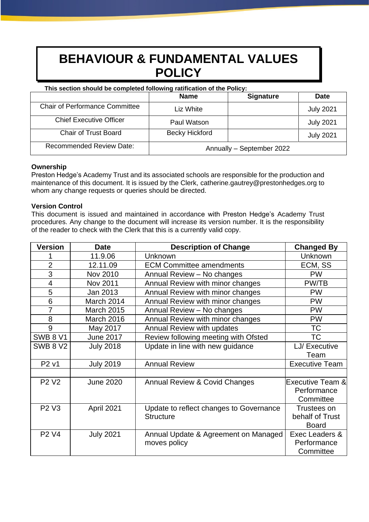# **BEHAVIOUR & FUNDAMENTAL VALUES POLICY**

#### **This section should be completed following ratification of the Policy:**

|                                       | <b>Name</b>               | <b>Signature</b> | <b>Date</b>      |
|---------------------------------------|---------------------------|------------------|------------------|
| <b>Chair of Performance Committee</b> | Liz White                 |                  | <b>July 2021</b> |
| <b>Chief Executive Officer</b>        | Paul Watson               |                  | <b>July 2021</b> |
| <b>Chair of Trust Board</b>           | <b>Becky Hickford</b>     |                  | <b>July 2021</b> |
| <b>Recommended Review Date:</b>       | Annually - September 2022 |                  |                  |

# **Ownership**

Preston Hedge's Academy Trust and its associated schools are responsible for the production and maintenance of this document. It is issued by the Clerk, catherine.gautrey@prestonhedges.org to whom any change requests or queries should be directed.

# **Version Control**

This document is issued and maintained in accordance with Preston Hedge's Academy Trust procedures. Any change to the document will increase its version number. It is the responsibility of the reader to check with the Clerk that this is a currently valid copy.

| <b>Version</b>                | <b>Date</b>       | <b>Description of Change</b>            | <b>Changed By</b>           |
|-------------------------------|-------------------|-----------------------------------------|-----------------------------|
|                               | 11.9.06           | Unknown                                 | Unknown                     |
| $\overline{2}$                | 12.11.09          | <b>ECM Committee amendments</b>         | ECM, SS                     |
| 3                             | Nov 2010          | Annual Review - No changes              | <b>PW</b>                   |
| 4                             | Nov 2011          | Annual Review with minor changes        | PW/TB                       |
| 5                             | Jan 2013          | Annual Review with minor changes        | <b>PW</b>                   |
| 6                             | March 2014        | Annual Review with minor changes        | <b>PW</b>                   |
| $\overline{7}$                | <b>March 2015</b> | Annual Review - No changes              | <b>PW</b>                   |
| 8                             | March 2016        | Annual Review with minor changes        | <b>PW</b>                   |
| 9                             | May 2017          | Annual Review with updates              | <b>TC</b>                   |
| <b>SWB 8 V1</b>               | <b>June 2017</b>  | Review following meeting with Ofsted    | ТC                          |
| <b>SWB 8 V2</b>               | <b>July 2018</b>  | Update in line with new guidance        | LJ/ Executive               |
|                               |                   |                                         | Team                        |
| P <sub>2</sub> v <sub>1</sub> | <b>July 2019</b>  | <b>Annual Review</b>                    | <b>Executive Team</b>       |
|                               |                   |                                         |                             |
| <b>P2 V2</b>                  | <b>June 2020</b>  | Annual Review & Covid Changes           | <b>Executive Team &amp;</b> |
|                               |                   |                                         | Performance                 |
|                               |                   |                                         | Committee                   |
| <b>P2 V3</b>                  | April 2021        | Update to reflect changes to Governance | Trustees on                 |
|                               |                   | <b>Structure</b>                        | behalf of Trust             |
|                               |                   |                                         | <b>Board</b>                |
| P <sub>2</sub> V <sub>4</sub> | <b>July 2021</b>  | Annual Update & Agreement on Managed    | Exec Leaders &              |
|                               |                   | moves policy                            | Performance                 |
|                               |                   |                                         | Committee                   |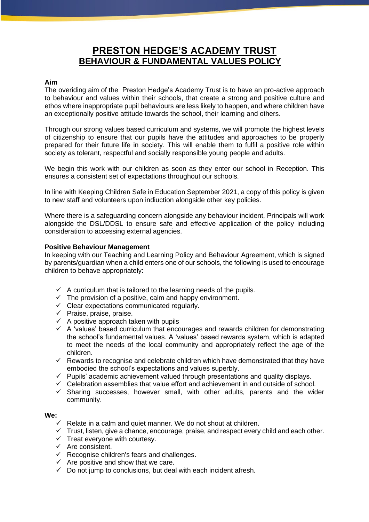# **PRESTON HEDGE'S ACADEMY TRUST BEHAVIOUR & FUNDAMENTAL VALUES POLICY**

#### **Aim**

The overiding aim of the Preston Hedge's Academy Trust is to have an pro-active approach to behaviour and values within their schools, that create a strong and positive culture and ethos where inappropriate pupil behaviours are less likely to happen, and where children have an exceptionally positive attitude towards the school, their learning and others.

Through our strong values based curriculum and systems, we will promote the highest levels of citizenship to ensure that our pupils have the attitudes and approaches to be properly prepared for their future life in society. This will enable them to fulfil a positive role within society as tolerant, respectful and socially responsible young people and adults.

We begin this work with our children as soon as they enter our school in Reception. This ensures a consistent set of expectations throughout our schools.

In line with Keeping Children Safe in Education September 2021, a copy of this policy is given to new staff and volunteers upon indiuction alongside other key policies.

Where there is a safeguarding concern alongside any behaviour incident, Principals will work alongside the DSL/DDSL to ensure safe and effective application of the policy including consideration to accessing external agencies.

#### **Positive Behaviour Management**

In keeping with our Teaching and Learning Policy and Behaviour Agreement, which is signed by parents/guardian when a child enters one of our schools, the following is used to encourage children to behave appropriately:

- $\checkmark$  A curriculum that is tailored to the learning needs of the pupils.
- $\checkmark$  The provision of a positive, calm and happy environment.
- $\checkmark$  Clear expectations communicated regularly.
- $\checkmark$  Praise, praise, praise.
- $\checkmark$  A positive approach taken with pupils
- $\checkmark$  A 'values' based curriculum that encourages and rewards children for demonstrating the school's fundamental values. A 'values' based rewards system, which is adapted to meet the needs of the local community and appropriately reflect the age of the children.
- $\checkmark$  Rewards to recognise and celebrate children which have demonstrated that they have embodied the school's expectations and values superbly.
- ✓ Pupils' academic achievement valued through presentations and quality displays.
- $\checkmark$  Celebration assemblies that value effort and achievement in and outside of school.
- ✓ Sharing successes, however small, with other adults, parents and the wider community.

# **We:**

- $\checkmark$  Relate in a calm and quiet manner. We do not shout at children.
- $\checkmark$  Trust, listen, give a chance, encourage, praise, and respect every child and each other.
- $\checkmark$  Treat everyone with courtesy.
- $\checkmark$  Are consistent.
- $\checkmark$  Recognise children's fears and challenges.
- $\checkmark$  Are positive and show that we care.
- $\checkmark$  Do not jump to conclusions, but deal with each incident afresh.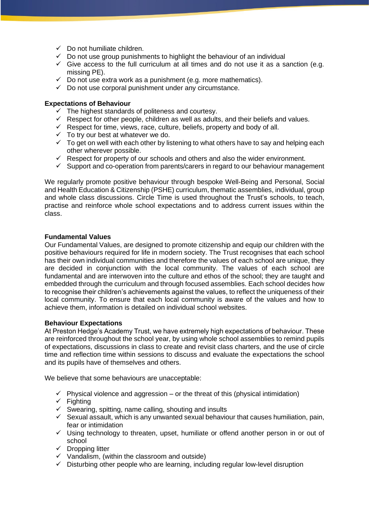- $\checkmark$  Do not humiliate children.
- $\checkmark$  Do not use group punishments to highlight the behaviour of an individual
- $\checkmark$  Give access to the full curriculum at all times and do not use it as a sanction (e.g. missing PE).
- $\checkmark$  Do not use extra work as a punishment (e.g. more mathematics).
- $\checkmark$  Do not use corporal punishment under any circumstance.

#### **Expectations of Behaviour**

- $\checkmark$  The highest standards of politeness and courtesy.
- $\checkmark$  Respect for other people, children as well as adults, and their beliefs and values.
- $\checkmark$  Respect for time, views, race, culture, beliefs, property and body of all.
- $\checkmark$  To try our best at whatever we do.
- $\checkmark$  To get on well with each other by listening to what others have to say and helping each other wherever possible.
- $\checkmark$  Respect for property of our schools and others and also the wider environment.
- $\checkmark$  Support and co-operation from parents/carers in regard to our behaviour management

We regularly promote positive behaviour through bespoke Well-Being and Personal, Social and Health Education & Citizenship (PSHE) curriculum, thematic assemblies, individual, group and whole class discussions. Circle Time is used throughout the Trust's schools, to teach, practise and reinforce whole school expectations and to address current issues within the class.

#### **Fundamental Values**

Our Fundamental Values, are designed to promote citizenship and equip our children with the positive behaviours required for life in modern society. The Trust recognises that each school has their own individual communities and therefore the values of each school are unique, they are decided in conjunction with the local community. The values of each school are fundamental and are interwoven into the culture and ethos of the school; they are taught and embedded through the curriculum and through focused assemblies. Each school decides how to recognise their children's achievements against the values, to reflect the uniqueness of their local community. To ensure that each local community is aware of the values and how to achieve them, information is detailed on individual school websites.

# **Behaviour Expectations**

At Preston Hedge's Academy Trust, we have extremely high expectations of behaviour. These are reinforced throughout the school year, by using whole school assemblies to remind pupils of expectations, discussions in class to create and revisit class charters, and the use of circle time and reflection time within sessions to discuss and evaluate the expectations the school and its pupils have of themselves and others.

We believe that some behaviours are unacceptable:

- $\checkmark$  Physical violence and aggression or the threat of this (physical intimidation)
- $\checkmark$  Fighting
- $\checkmark$  Swearing, spitting, name calling, shouting and insults
- $\checkmark$  Sexual assault, which is any unwanted sexual behaviour that causes humiliation, pain, fear or intimidation
- ✓ Using technology to threaten, upset, humiliate or offend another person in or out of school
- ✓ Dropping litter
- ✓ Vandalism, (within the classroom and outside)
- $\checkmark$  Disturbing other people who are learning, including regular low-level disruption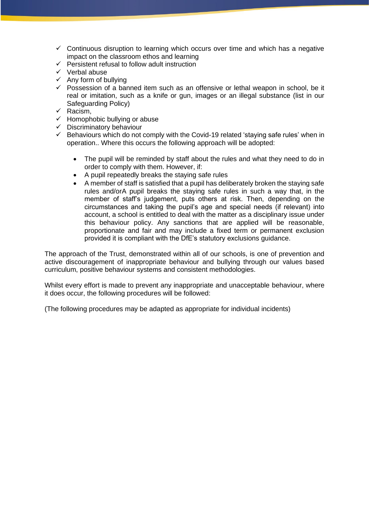- $\checkmark$  Continuous disruption to learning which occurs over time and which has a negative impact on the classroom ethos and learning
- $\checkmark$  Persistent refusal to follow adult instruction
- ✓ Verbal abuse
- $\checkmark$  Any form of bullying
- $\checkmark$  Possession of a banned item such as an offensive or lethal weapon in school, be it real or imitation, such as a knife or gun, images or an illegal substance (list in our Safeguarding Policy)
- ✓ Racism,
- $\checkmark$  Homophobic bullying or abuse
- $\checkmark$  Discriminatory behaviour<br> $\checkmark$  Behaviours which do not a
- Behaviours which do not comply with the Covid-19 related 'staying safe rules' when in operation.. Where this occurs the following approach will be adopted:
	- The pupil will be reminded by staff about the rules and what they need to do in order to comply with them. However, if:
	- A pupil repeatedly breaks the staying safe rules
	- A member of staff is satisfied that a pupil has deliberately broken the staying safe rules and/orA pupil breaks the staying safe rules in such a way that, in the member of staff's judgement, puts others at risk. Then, depending on the circumstances and taking the pupil's age and special needs (if relevant) into account, a school is entitled to deal with the matter as a disciplinary issue under this behaviour policy. Any sanctions that are applied will be reasonable, proportionate and fair and may include a fixed term or permanent exclusion provided it is compliant with the DfE's statutory exclusions guidance.

The approach of the Trust, demonstrated within all of our schools, is one of prevention and active discouragement of inappropriate behaviour and bullying through our values based curriculum, positive behaviour systems and consistent methodologies.

Whilst every effort is made to prevent any inappropriate and unacceptable behaviour, where it does occur, the following procedures will be followed:

(The following procedures may be adapted as appropriate for individual incidents)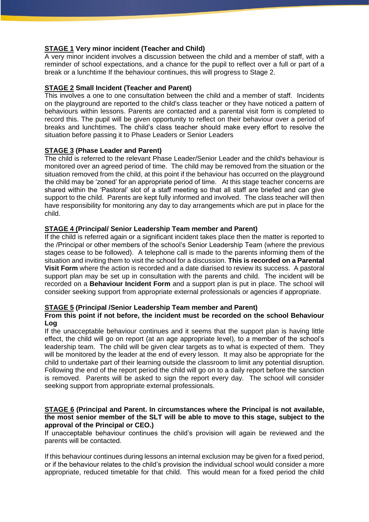#### **STAGE 1 Very minor incident (Teacher and Child)**

A very minor incident involves a discussion between the child and a member of staff, with a reminder of school expectations, and a chance for the pupil to reflect over a full or part of a break or a lunchtime If the behaviour continues, this will progress to Stage 2.

#### **STAGE 2 Small Incident (Teacher and Parent)**

This involves a one to one consultation between the child and a member of staff. Incidents on the playground are reported to the child's class teacher or they have noticed a pattern of behaviours within lessons. Parents are contacted and a parental visit form is completed to record this. The pupil will be given opportunity to reflect on their behaviour over a period of breaks and lunchtimes. The child's class teacher should make every effort to resolve the situation before passing it to Phase Leaders or Senior Leaders

# **STAGE 3 (Phase Leader and Parent)**

The child is referred to the relevant Phase Leader/Senior Leader and the child's behaviour is monitored over an agreed period of time. The child may be removed from the situation or the situation removed from the child, at this point if the behaviour has occurred on the playground the child may be 'zoned' for an appropriate period of time. At this stage teacher concerns are shared within the 'Pastoral' slot of a staff meeting so that all staff are briefed and can give support to the child. Parents are kept fully informed and involved. The class teacher will then have responsibility for monitoring any day to day arrangements which are put in place for the child.

#### **STAGE 4 (Principal/ Senior Leadership Team member and Parent)**

If the child is referred again or a significant incident takes place then the matter is reported to the /Principal or other members of the school's Senior Leadership Team (where the previous stages cease to be followed). A telephone call is made to the parents informing them of the situation and inviting them to visit the school for a discussion. **This is recorded on a Parental Visit Form** where the action is recorded and a date diarised to review its success. A pastoral support plan may be set up in consultation with the parents and child. The incident will be recorded on a **Behaviour Incident Form** and a support plan is put in place. The school will consider seeking support from appropriate external professionals or agencies if appropriate.

# **STAGE 5 (Principal /Senior Leadership Team member and Parent)**

#### **From this point if not before, the incident must be recorded on the school Behaviour Log**

If the unacceptable behaviour continues and it seems that the support plan is having little effect, the child will go on report (at an age appropriate level), to a member of the school's leadership team. The child will be given clear targets as to what is expected of them. They will be monitored by the leader at the end of every lesson. It may also be appropriate for the child to undertake part of their learning outside the classroom to limit any potential disruption. Following the end of the report period the child will go on to a daily report before the sanction is removed. Parents will be asked to sign the report every day. The school will consider seeking support from appropriate external professionals.

#### **STAGE 6 (Principal and Parent. In circumstances where the Principal is not available, the most senior member of the SLT will be able to move to this stage, subject to the approval of the Principal or CEO.)**

If unacceptable behaviour continues the child's provision will again be reviewed and the parents will be contacted.

If this behaviour continues during lessons an internal exclusion may be given for a fixed period, or if the behaviour relates to the child's provision the individual school would consider a more appropriate, reduced timetable for that child. This would mean for a fixed period the child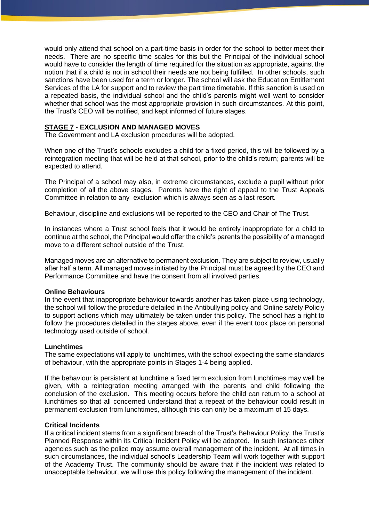would only attend that school on a part-time basis in order for the school to better meet their needs. There are no specific time scales for this but the Principal of the individual school would have to consider the length of time required for the situation as appropriate, against the notion that if a child is not in school their needs are not being fulfilled. In other schools, such sanctions have been used for a term or longer. The school will ask the Education Entitlement Services of the LA for support and to review the part time timetable. If this sanction is used on a repeated basis, the individual school and the child's parents might well want to consider whether that school was the most appropriate provision in such circumstances. At this point, the Trust's CEO will be notified, and kept informed of future stages.

#### **STAGE 7 - EXCLUSION AND MANAGED MOVES**

The Government and LA exclusion procedures will be adopted.

When one of the Trust's schools excludes a child for a fixed period, this will be followed by a reintegration meeting that will be held at that school, prior to the child's return; parents will be expected to attend.

The Principal of a school may also, in extreme circumstances, exclude a pupil without prior completion of all the above stages. Parents have the right of appeal to the Trust Appeals Committee in relation to any exclusion which is always seen as a last resort.

Behaviour, discipline and exclusions will be reported to the CEO and Chair of The Trust.

In instances where a Trust school feels that it would be entirely inappropriate for a child to continue at the school, the Principal would offer the child's parents the possibility of a managed move to a different school outside of the Trust.

Managed moves are an alternative to permanent exclusion. They are subject to review, usually after half a term. All managed moves initiated by the Principal must be agreed by the CEO and Performance Committee and have the consent from all involved parties.

#### **Online Behaviours**

In the event that inappropriate behaviour towards another has taken place using technology, the school will follow the procedure detailed in the Antibullying policy and Online safety Policiy to support actions which may ultimately be taken under this policy. The school has a right to follow the procedures detailed in the stages above, even if the event took place on personal technology used outside of school.

#### **Lunchtimes**

The same expectations will apply to lunchtimes, with the school expecting the same standards of behaviour, with the appropriate points in Stages 1-4 being applied.

If the behaviour is persistent at lunchtime a fixed term exclusion from lunchtimes may well be given, with a reintegration meeting arranged with the parents and child following the conclusion of the exclusion. This meeting occurs before the child can return to a school at lunchtimes so that all concerned understand that a repeat of the behaviour could result in permanent exclusion from lunchtimes, although this can only be a maximum of 15 days.

#### **Critical Incidents**

If a critical incident stems from a significant breach of the Trust's Behaviour Policy, the Trust's Planned Response within its Critical Incident Policy will be adopted. In such instances other agencies such as the police may assume overall management of the incident. At all times in such circumstances, the individual school's Leadership Team will work together with support of the Academy Trust. The community should be aware that if the incident was related to unacceptable behaviour, we will use this policy following the management of the incident.